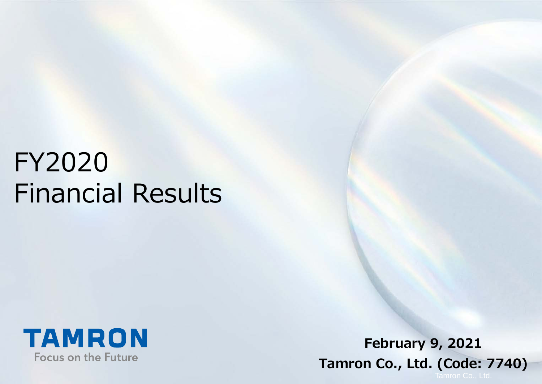# FY2020 Financial Results



**February 9, 2021 Tamron Co., Ltd. (Code: 7740)**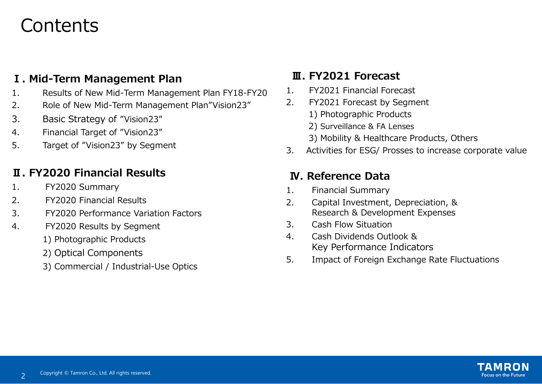### **Contents**

#### **Ⅰ. Mid-Term Management Plan**

- 1. Results of New Mid-Term Management Plan FY18-FY20
- 2. Role of New Mid-Term Management Plan"Vision23"
- 3. Basic Strategy of "Vision23"
- 4. Financial Target of "Vision23"
- 5. Target of "Vision23" by Segment

#### **Ⅱ. FY2020 Financial Results**

- 1. FY2020 Summary
- 2. FY2020 Financial Results
- 3. FY2020 Performance Variation Factors
- 4. FY2020 Results by Segment
	- 1) Photographic Products
	- 2) Optical Components
	- 3) Commercial / Industrial-Use Optics

#### **Ⅲ. FY2021 Forecast**

- 1. FY2021 Financial Forecast
- 2. FY2021 Forecast by Segment
	- 1) Photographic Products
	- 2) Surveillance & FA Lenses
	- 3) Mobility & Healthcare Products, Others
- 3. Activities for ESG/ Prosses to increase corporate value

#### **Ⅳ. Reference Data**

- 1. Financial Summary
- 2. Capital Investment, Depreciation, & Research & Development Expenses
- 3. Cash Flow Situation
- 4. Cash Dividends Outlook & Key Performance Indicators
- 5. Impact of Foreign Exchange Rate Fluctuations

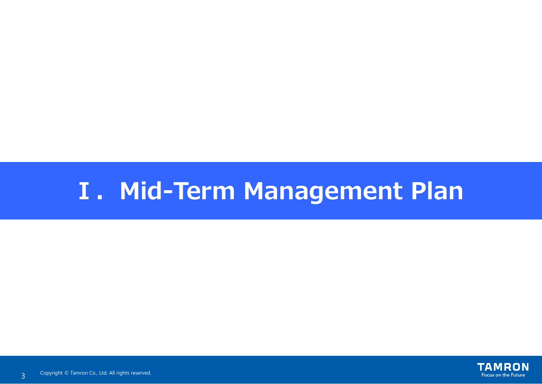# **Ⅰ.Mid-Term Management Plan**

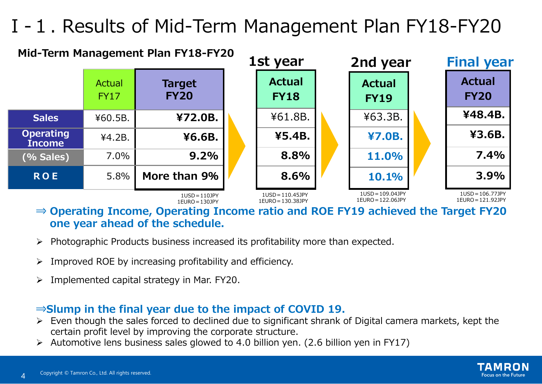# Ⅰ-1. Results of Mid-Term Management Plan FY18-FY20



**⇒ Operating Income, Operating Income ratio and ROE FY19 achieved the Target FY20 one year ahead of the schedule.**

- Photographic Products business increased its profitability more than expected.
- 4 Improved ROE by increasing profitability and efficiency.
- $\triangleright$  Implemented capital strategy in Mar. FY20.

#### **⇒Slump in the final year due to the impact of COVID 19.**

- $\triangleright$  Even though the sales forced to declined due to significant shrank of Digital camera markets, kept the certain profit level by improving the corporate structure.
- $\triangleright$  Automotive lens business sales glowed to 4.0 billion yen. (2.6 billion yen in FY17)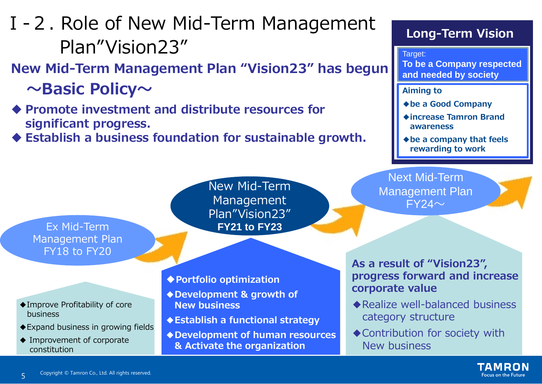

# Ⅰ-2. Role of New Mid-Term Management Plan"Vision23"

**New Mid-Term Management Plan "Vision23" has begun ~Basic Policy~**

 **Promote investment and distribute resources for significant progress.**

**Long-Term Vision**

**<2019主な進捗> and needed by society** Target: **To be a Company respected** 

**Aiming to** 

**◆be a Good Company**

**◆increase Tamron Brand**

**Focus on the Future** 

Copyright © Tamron Co., Ltd. All rights reserved. 5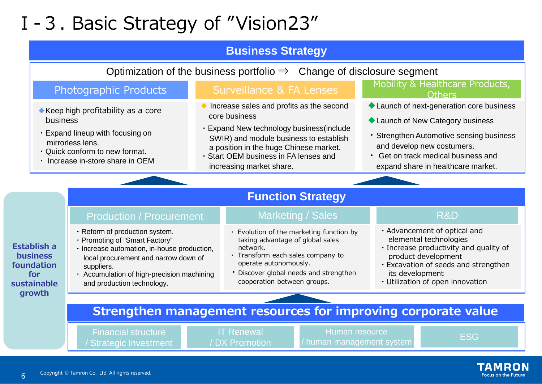# Ⅰ-3. Basic Strategy of "Vision23"

#### **Business Strategy**

Optimization of the business portfolio  $\Rightarrow$  Change of disclosure segment

- ◆Keep high profitability as a core business
- ・Expand lineup with focusing on mirrorless lens.
- ・Quick conform to new format.
- ・ Increase in-store share in OEM

- Increase sales and profits as the second core business
- ・Expand New technology business(include SWIR) and module business to establish a position in the huge Chinese market.
- ・Start OEM business in FA lenses and increasing market share.

#### Photographic Products Surveillance & FA Lenses Mobility & Healthcare Products, **Others**

- ◆ Launch of next-generation core business
- ◆ Launch of New Category business
- ・Strengthen Automotive sensing business and develop new costumers.
- ・ Get on track medical business and expand share in healthcare market.

#### **Function Strategy**

#### Production / Procurement

- ・Reform of production system.
- ・Promoting of "Smart Factory"
- ・Increase automation, in-house production, local procurement and narrow down of suppliers.
- ・ Accumulation of high-precision machining and production technology.

#### Marketing / Sales

- ・ Evolution of the marketing function by taking advantage of global sales network.
- ・ Transform each sales company to operate autonomously.
- ・Discover global needs and strengthen cooperation between groups.

#### R&D

- ・Advancement of optical and elemental technologies
- ・Increase productivity and quality of product development
- ・Excavation of seeds and strengthen its development
- ・Utilization of open innovation

### **Strengthen management resources for improving corporate value**

Financial structure / Strategic Investment / DX Promotion

Human resource IT Renewal **EXECUT MENUT MANAGEM MANUS**<br>IN Promotion Management system **IT Renewals** ESG



**Establish a business foundation for sustainable growth**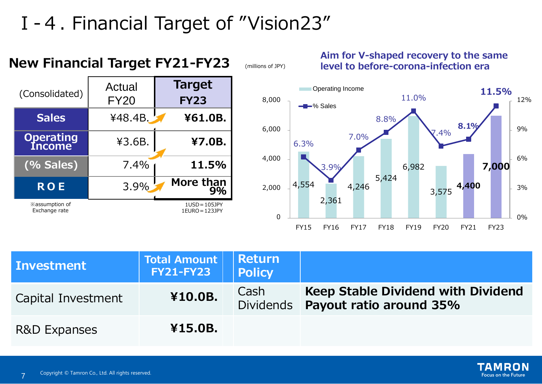# Ⅰ-4. Financial Target of "Vision23"



#### **Aim for V-shaped recovery to the same level to before-corona-infection era**



| <b>Investment</b>       | <b>Total Amount</b><br>$FY21-FY23$ | Return <br><b>Policy</b> |                                                                      |
|-------------------------|------------------------------------|--------------------------|----------------------------------------------------------------------|
| Capital Investment      | ¥10.0B.                            | Cash<br><b>Dividends</b> | <b>Keep Stable Dividend with Dividend</b><br>Payout ratio around 35% |
| <b>R&amp;D Expanses</b> | ¥15.0B.                            |                          |                                                                      |

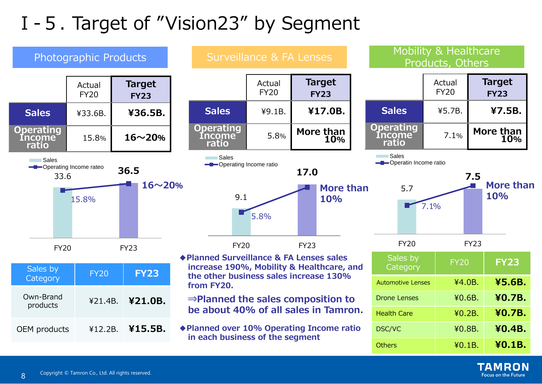# Ⅰ-5. Target of "Vision23" by Segment



TAMRON **Focus on the Future**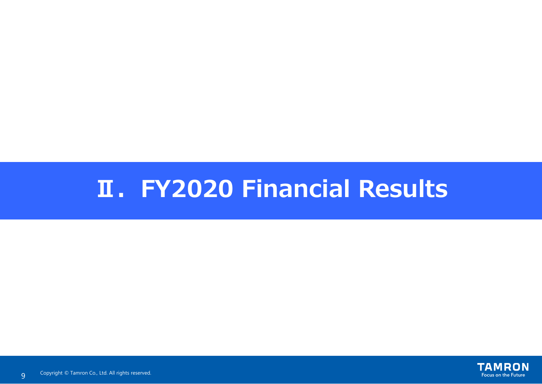# **Ⅱ.FY2020 Financial Results**

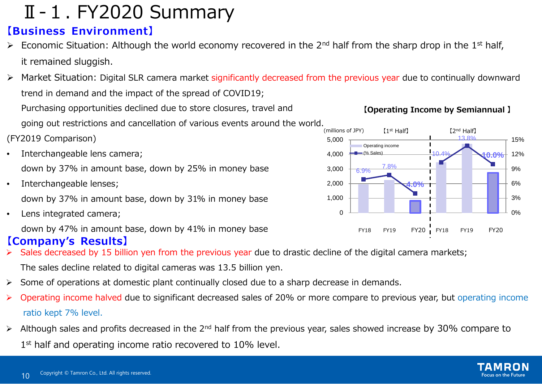## Ⅱ-1. FY2020 Summary

#### **【Business Environment】**

- Economic Situation: Although the world economy recovered in the 2<sup>nd</sup> half from the sharp drop in the 1<sup>st</sup> half, it remained sluggish.
- > Market Situation: Digital SLR camera market significantly decreased from the previous year due to continually downward trend in demand and the impact of the spread of COVID19;

Purchasing opportunities declined due to store closures, travel and going out restrictions and cancellation of various events around the world.

(FY2019 Comparison)

- Interchangeable lens camera; down by 37% in amount base, down by 25% in money base
- Interchangeable lenses; down by 37% in amount base, down by 31% in money base
- Lens integrated camera;

down by 47% in amount base, down by 41% in money base

#### **【Company's Results】**

- Sales decreased by 15 billion yen from the previous year due to drastic decline of the digital camera markets; The sales decline related to digital cameras was 13.5 billion yen.
- $\triangleright$  Some of operations at domestic plant continually closed due to a sharp decrease in demands.
- ▶ Operating income halved due to significant decreased sales of 20% or more compare to previous year, but operating income ratio kept 7% level.
- Although sales and profits decreased in the 2<sup>nd</sup> half from the previous year, sales showed increase by 30% compare to 1<sup>st</sup> half and operating income ratio recovered to 10% level.

#### **【Operating Income by Semiannual 】**



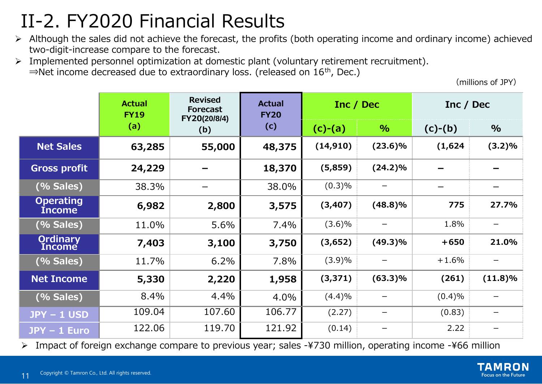# II-2. FY2020 Financial Results

- $\triangleright$  Although the sales did not achieve the forecast, the profits (both operating income and ordinary income) achieved two-digit-increase compare to the forecast.
- Implemented personnel optimization at domestic plant (voluntary retirement recruitment). ⇒Net income decreased due to extraordinary loss. (released on 16th, Dec.)

(millions of JPY)

|                                   | <b>Actual</b><br><b>FY19</b> | <b>Revised</b><br><b>Forecast</b><br>FY20(20/8/4) | <b>Actual</b><br><b>FY20</b> | Inc / Dec |                 | Inc / Dec |            |
|-----------------------------------|------------------------------|---------------------------------------------------|------------------------------|-----------|-----------------|-----------|------------|
|                                   | (a)                          | (b)                                               | (c)                          | $(c)-(a)$ | $\%$            | $(c)-(b)$ | $\%$       |
| <b>Net Sales</b>                  | 63,285                       | 55,000                                            | 48,375                       | (14, 910) | $(23.6)\%$      | (1,624)   | (3.2)%     |
| <b>Gross profit</b>               | 24,229                       |                                                   | 18,370                       | (5,859)   | $(24.2)\%$      |           |            |
| (% Sales)                         | 38.3%                        |                                                   | 38.0%                        | (0.3)%    |                 |           |            |
| <b>Operating</b><br><b>Income</b> | 6,982                        | 2,800                                             | 3,575                        | (3,407)   | $(48.8)\%$      | 775       | 27.7%      |
| (% Sales)                         | 11.0%                        | 5.6%                                              | 7.4%                         | $(3.6)\%$ | —               | 1.8%      |            |
| <b>Ordinary</b><br>Income         | 7,403                        | 3,100                                             | 3,750                        | (3,652)   | $(49.3)\%$      | $+650$    | 21.0%      |
| (% Sales)                         | 11.7%                        | 6.2%                                              | 7.8%                         | (3.9)%    | $\qquad \qquad$ | $+1.6%$   |            |
| <b>Net Income</b>                 | 5,330                        | 2,220                                             | 1,958                        | (3, 371)  | $(63.3)\%$      | (261)     | $(11.8)\%$ |
| (% Sales)                         | 8.4%                         | 4.4%                                              | 4.0%                         | (4.4)%    |                 | (0.4)%    |            |
| $JPY - 1$ USD                     | 109.04                       | 107.60                                            | 106.77                       | (2.27)    |                 | (0.83)    |            |
| JPY - 1 Euro                      | 122.06                       | 119.70                                            | 121.92                       | (0.14)    |                 | 2.22      |            |

Impact of foreign exchange compare to previous year; sales -¥730 million, operating income -¥66 million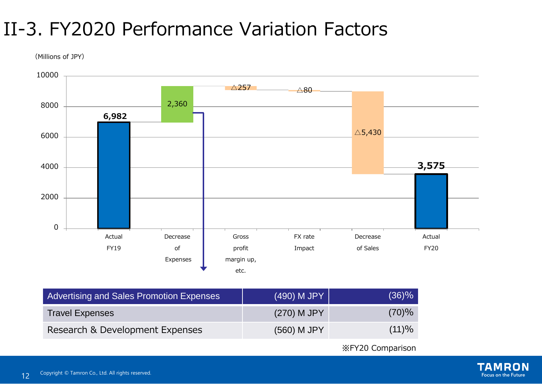# II-3. FY2020 Performance Variation Factors

(Millions of JPY)



| Advertising and Sales Promotion Expenses | (490) M JPY   | (36)% |
|------------------------------------------|---------------|-------|
| <b>Travel Expenses</b>                   | $(270)$ M JPY | (70)% |
| Research & Development Expenses          | (560) M JPY   | (11)% |

※FY20 Comparison

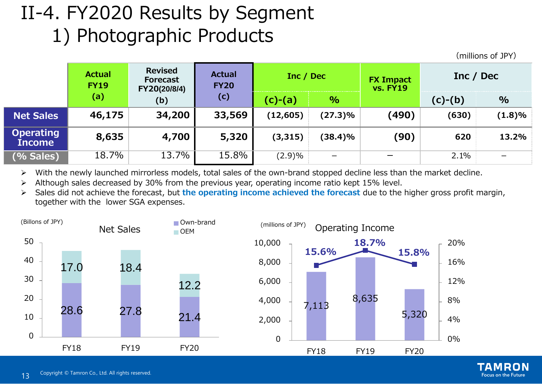# II-4. FY2020 Results by Segment 1) Photographic Products

(millions of JPY)

|                                   | <b>Actual</b><br><b>FY19</b> | <b>Revised</b><br><b>Forecast</b><br>FY20(20/8/4) | <b>Actual</b><br><b>FY20</b> | Inc / Dec |                          | <b>FX Impact</b><br><b>vs. FY19</b> | Inc / Dec |           |
|-----------------------------------|------------------------------|---------------------------------------------------|------------------------------|-----------|--------------------------|-------------------------------------|-----------|-----------|
|                                   | (a)                          | (b)                                               | (c)                          | $(c)-(a)$ | $\%$                     |                                     | $(c)-(b)$ | $\%$      |
| <b>Net Sales</b>                  | 46,175                       | 34,200                                            | 33,569                       | (12, 605) | $(27.3)\%$               | (490)                               | (630)     | $(1.8)\%$ |
| <b>Operating</b><br><b>Income</b> | 8,635                        | 4,700                                             | 5,320                        | (3, 315)  | (38.4)%                  | (90)                                | 620       | 13.2%     |
| (% Sales)                         | 18.7%                        | 13.7%                                             | 15.8%                        | (2.9)%    | $\overline{\phantom{m}}$ | $\overline{\phantom{m}}$            | 2.1%      |           |

With the newly launched mirrorless models, total sales of the own-brand stopped decline less than the market decline.

Although sales decreased by 30% from the previous year, operating income ratio kept 15% level.

 Sales did not achieve the forecast, but **the operating income achieved the forecast** due to the higher gross profit margin, together with the lower SGA expenses.





ł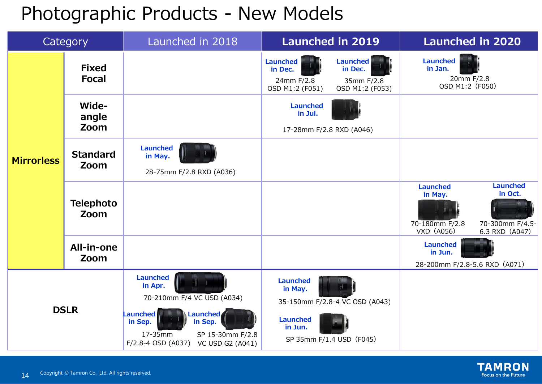## Photographic Products - New Models

|                   | Category                     | Launched in 2018                                                                                                                                                                       | <b>Launched in 2019</b>                                                                                                    | <b>Launched in 2020</b>                                                                                                       |
|-------------------|------------------------------|----------------------------------------------------------------------------------------------------------------------------------------------------------------------------------------|----------------------------------------------------------------------------------------------------------------------------|-------------------------------------------------------------------------------------------------------------------------------|
|                   | <b>Fixed</b><br><b>Focal</b> |                                                                                                                                                                                        | <b>Launched</b><br><b>Launched</b><br>in Dec.<br>in Dec.<br>24mm F/2.8<br>35mm F/2.8<br>OSD M1:2 (F051)<br>OSD M1:2 (F053) | Launched<br>in Jan.<br>20mm F/2.8<br>OSD M1:2 (F050)                                                                          |
|                   | Wide-<br>angle<br>Zoom       |                                                                                                                                                                                        | Launched<br>in Jul.<br>17-28mm F/2.8 RXD (A046)                                                                            |                                                                                                                               |
| <b>Mirrorless</b> | <b>Standard</b><br>Zoom      | <b>Launched</b><br>in May.<br>28-75mm F/2.8 RXD (A036)                                                                                                                                 |                                                                                                                            |                                                                                                                               |
|                   | <b>Telephoto</b><br>Zoom     |                                                                                                                                                                                        |                                                                                                                            | <b>Launched</b><br><b>Launched</b><br>in Oct.<br>in May.<br>70-180mm F/2.8<br>70-300mm F/4.5-<br>VXD (A056)<br>6.3 RXD (A047) |
|                   | All-in-one<br>Zoom           |                                                                                                                                                                                        |                                                                                                                            | <b>Launched</b><br>in Jun.<br>28-200mm F/2.8-5.6 RXD (A071)                                                                   |
|                   | <b>DSLR</b>                  | <b>Launched</b><br>in Apr.<br>70-210mm F/4 VC USD (A034)<br>Launched<br>Launched<br>in Sep.<br>in Sep.<br>17-35mm<br>SP 15-30mm F/2.8<br>F/2.8-4 OSD (A037)<br><b>VC USD G2 (A041)</b> | <b>Launched</b><br>in May.<br>35-150mm F/2.8-4 VC OSD (A043)<br><b>Launched</b><br>in Jun.<br>SP 35mm F/1.4 USD (F045)     |                                                                                                                               |

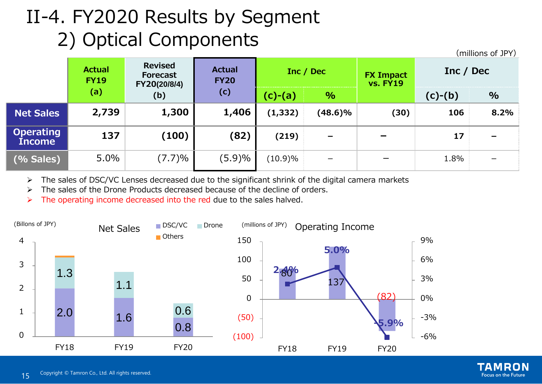# II-4. FY2020 Results by Segment 2) Optical Components

|                                   | <b>Actual</b><br><b>FY19</b> | <b>Revised</b><br><b>Forecast</b><br>FY20(20/8/4) | <b>Actual</b><br><b>FY20</b> | Inc / Dec  |                          | <b>FX Impact</b><br><b>vs. FY19</b> | Inc / Dec | $\left\langle \right $ Thinning to the set |
|-----------------------------------|------------------------------|---------------------------------------------------|------------------------------|------------|--------------------------|-------------------------------------|-----------|--------------------------------------------|
|                                   | (a)                          | (b)                                               | (c)                          | $(c)-(a)$  | $\sqrt{6}$               |                                     | $(c)-(b)$ | $\%$                                       |
| <b>Net Sales</b>                  | 2,739                        | 1,300                                             | 1,406                        | (1, 332)   | $(48.6)\%$               | (30)                                | 106       | 8.2%                                       |
| <b>Operating</b><br><b>Income</b> | 137                          | (100)                                             | (82)                         | (219)      | $\overline{\phantom{a}}$ |                                     | 17        | $\overline{\phantom{0}}$                   |
| (% Sales)                         | 5.0%                         | (7.7)%                                            | (5.9)%                       | $(10.9)\%$ | $\overline{\phantom{m}}$ |                                     | 1.8%      |                                            |

> The sales of DSC/VC Lenses decreased due to the significant shrink of the digital camera markets

- $\triangleright$  The sales of the Drone Products decreased because of the decline of orders.
- $\triangleright$  The operating income decreased into the red due to the sales halved.





(millions of JPY)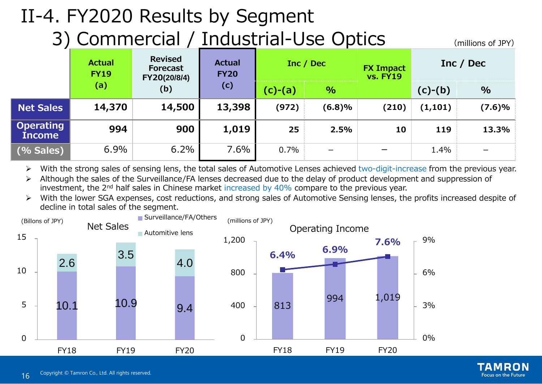# II-4. FY2020 Results by Segment

3) Commercial / Industrial-Use Optics (millions of JPY)

|                                   | <b>Actual</b><br><b>FY19</b> | <b>Revised</b><br><b>Forecast</b><br>FY20(20/8/4) | <b>Actual</b><br><b>FY20</b> | Inc / Dec |                 | <b>FX Impact</b><br><b>vs. FY19</b> |           | Inc / Dec |
|-----------------------------------|------------------------------|---------------------------------------------------|------------------------------|-----------|-----------------|-------------------------------------|-----------|-----------|
|                                   | (a)                          | (b)                                               | (c)                          | (c)-(a)   | $\%$            |                                     | $(c)-(b)$ | $\%$      |
| <b>Net Sales</b>                  | 14,370                       | 14,500                                            | 13,398                       | (972)     | (6.8)%          | (210)                               | (1, 101)  | (7.6)%    |
| <b>Operating</b><br><b>Income</b> | 994                          | 900                                               | 1,019                        | 25        | 2.5%            | 10                                  | 119       | 13.3%     |
| (% Sales)                         | 6.9%                         | 6.2%                                              | 7.6%                         | 0.7%      | $\qquad \qquad$ |                                     | 1.4%      |           |

▶ With the strong sales of sensing lens, the total sales of Automotive Lenses achieved two-digit-increase from the previous year.

 Although the sales of the Surveillance/FA lenses decreased due to the delay of product development and suppression of investment, the 2nd half sales in Chinese market increased by 40% compare to the previous year.

 With the lower SGA expenses, cost reductions, and strong sales of Automotive Sensing lenses, the profits increased despite of decline in total sales of the segment.



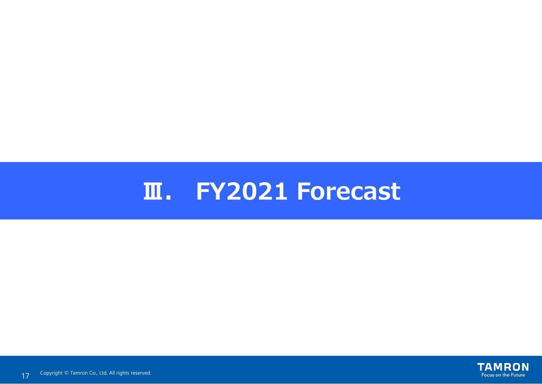# **Ⅲ. FY2021 Forecast**

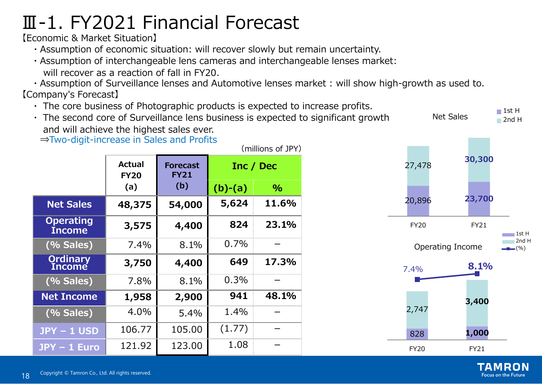# Ⅲ-1. FY2021 Financial Forecast

【Economic & Market Situation】

- ・Assumption of economic situation: will recover slowly but remain uncertainty.
- ・Assumption of interchangeable lens cameras and interchangeable lenses market: will recover as a reaction of fall in FY20.

・Assumption of Surveillance lenses and Automotive lenses market : will show high-growth as used to. 【Company's Forecast】

- ・ The core business of Photographic products is expected to increase profits.
- ・ The second core of Surveillance lens business is expected to significant growth and will achieve the highest sales ever. Net Sales

⇒Two-digit-increase in Sales and Profits

|                                   |                              |                                |           | (millions of JPY) |
|-----------------------------------|------------------------------|--------------------------------|-----------|-------------------|
|                                   | <b>Actual</b><br><b>FY20</b> | <b>Forecast</b><br><b>FY21</b> |           | Inc / Dec         |
|                                   | (a)                          | (b)                            | $(b)-(a)$ | $\%$              |
| <b>Net Sales</b>                  | 48,375                       | 54,000                         | 5,624     | 11.6%             |
| <b>Operating</b><br><b>Income</b> | 3,575                        | 4,400                          | 824       | 23.1%             |
| (% Sales)                         | 7.4%                         | 8.1%                           | 0.7%      |                   |
| Ordinary<br>Income                | 3,750                        | 4,400                          | 649       | 17.3%             |
| (% Sales)                         | 7.8%                         | 8.1%                           | 0.3%      |                   |
| <b>Net Income</b>                 | 1,958                        | 2,900                          | 941       | 48.1%             |
| (% Sales)                         | 4.0%                         | 5.4%                           | 1.4%      |                   |
| <b>JPY-1 USD</b>                  | 106.77                       | 105.00                         | (1.77)    |                   |
| $JPY - 1$ Euro                    | 121.92                       | 123.00                         | 1.08      |                   |



 $\blacksquare$  1st H

Focus on the Future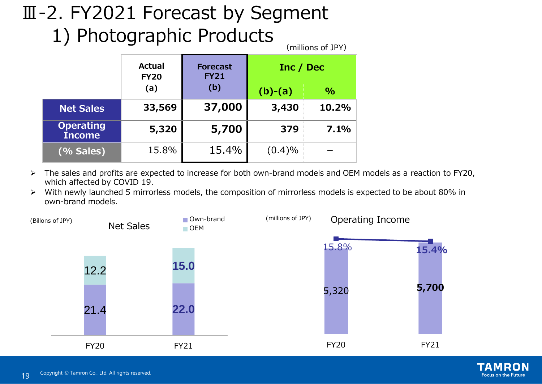### Ⅲ-2. FY2021 Forecast by Segment 1) Photographic Products (millions of JPY)

|                                   | Actual<br><b>FY20</b> | <b>Forecast</b><br><b>FY21</b> | Inc / Dec |               |
|-----------------------------------|-----------------------|--------------------------------|-----------|---------------|
|                                   | (a)                   | (b)                            | $(b)-(a)$ | $\frac{0}{0}$ |
| <b>Net Sales</b>                  | 33,569                | 37,000                         | 3,430     | 10.2%         |
| <b>Operating</b><br><b>Income</b> | 5,320                 | 5,700                          | 379       | 7.1%          |
| (% Sales)                         | 15.8%                 | 15.4%                          | (0.4)%    |               |

- The sales and profits are expected to increase for both own-brand models and OEM models as a reaction to FY20, which affected by COVID 19.
- With newly launched 5 mirrorless models, the composition of mirrorless models is expected to be about 80% in own-brand models.



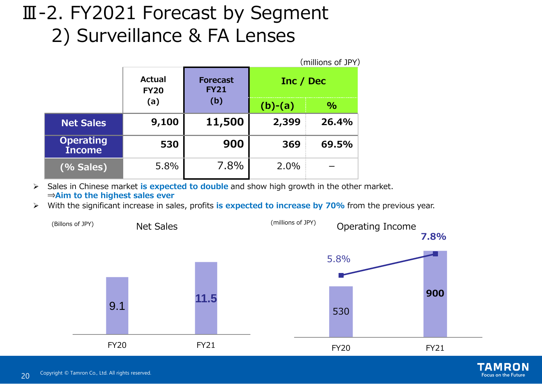# Ⅲ-2. FY2021 Forecast by Segment 2) Surveillance & FA Lenses

|                                   |                       |                                |           | (millions of JPY) |
|-----------------------------------|-----------------------|--------------------------------|-----------|-------------------|
|                                   | Actual<br><b>FY20</b> | <b>Forecast</b><br><b>FY21</b> | Inc / Dec |                   |
|                                   | (a)                   | (b)                            | $(b)-(a)$ | $\%$              |
| <b>Net Sales</b>                  | 9,100                 | 11,500                         | 2,399     | 26.4%             |
| <b>Operating</b><br><b>Income</b> | 530                   | 900                            | 369       | 69.5%             |
| (% Sales)                         | 5.8%                  | 7.8%                           | 2.0%      |                   |

 Sales in Chinese market **is expected to double** and show high growth in the other market. ⇒**Aim to the highest sales ever** 

With the significant increase in sales, profits **is expected to increase by 70%** from the previous year.



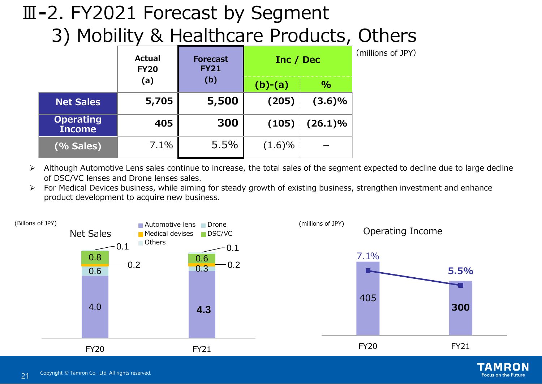## Ⅲ**-**2. FY2021 Forecast by Segment 3) Mobility & Healthcare Products, Others

| ,                                 | <b>Actual</b><br><b>FY20</b> | <b>Forecast</b><br><b>FY21</b> | Inc / Dec |            | (millions of JPY) |
|-----------------------------------|------------------------------|--------------------------------|-----------|------------|-------------------|
|                                   | (a)                          | (b)                            | $(b)-(a)$ | $\%$       |                   |
| <b>Net Sales</b>                  | 5,705                        | 5,500                          | (205)     | $(3.6)\%$  |                   |
| <b>Operating</b><br><b>Income</b> | 405                          | 300                            | (105)     | $(26.1)\%$ |                   |
| (% Sales)                         | 7.1%                         | 5.5%                           | $(1.6)\%$ |            |                   |

- Although Automotive Lens sales continue to increase, the total sales of the segment expected to decline due to large decline of DSC/VC lenses and Drone lenses sales.
- $\triangleright$  For Medical Devices business, while aiming for steady growth of existing business, strengthen investment and enhance product development to acquire new business.



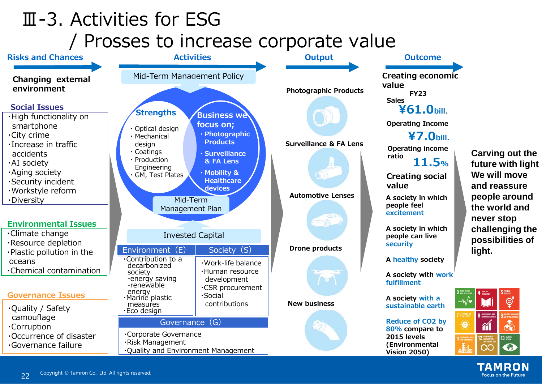# Ⅲ-3. Activities for ESG / Prosses to increase corporate value



**future with light We will move and reassure people around the world and never stop challenging the possibilities of** 

> TAMRON **Focus on the Future**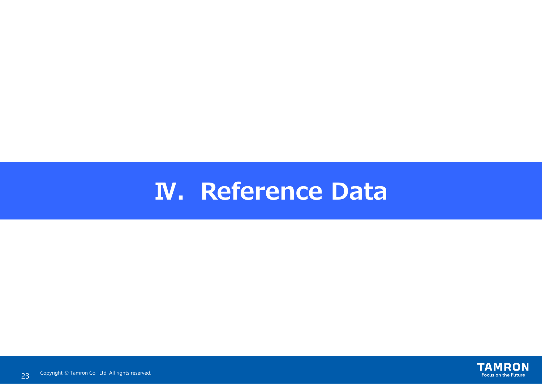# **N. Reference Data**

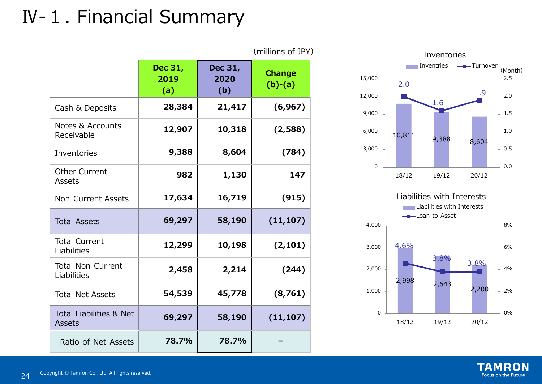# Ⅳ-1. Financial Summary

|                                                     |                        |                        | (millions of JPY)          |
|-----------------------------------------------------|------------------------|------------------------|----------------------------|
|                                                     | Dec 31,<br>2019<br>(a) | Dec 31,<br>2020<br>(b) | <b>Change</b><br>$(b)-(a)$ |
| Cash & Deposits                                     | 28,384                 | 21,417                 | (6, 967)                   |
| <b>Notes &amp; Accounts</b><br>Receivable           | 12,907                 | 10,318                 | (2,588)                    |
| <b>Inventories</b>                                  | 9,388                  | 8,604                  | (784)                      |
| <b>Other Current</b><br><b>Assets</b>               | 982                    | 1,130                  | 147                        |
| <b>Non-Current Assets</b>                           | 17,634                 | 16,719                 | (915)                      |
| <b>Total Assets</b>                                 | 69,297                 | 58,190                 | (11, 107)                  |
| <b>Total Current</b><br>Liabilities                 | 12,299                 | 10,198                 | (2, 101)                   |
| <b>Total Non-Current</b><br>Liabilities             | 2,458                  | 2,214                  | (244)                      |
| <b>Total Net Assets</b>                             | 54,539                 | 45,778                 | (8,761)                    |
| <b>Total Liabilities &amp; Net</b><br><b>Assets</b> | 69,297                 | 58,190                 | (11, 107)                  |
| Ratio of Net Assets                                 | 78.7%                  | 78.7%                  |                            |





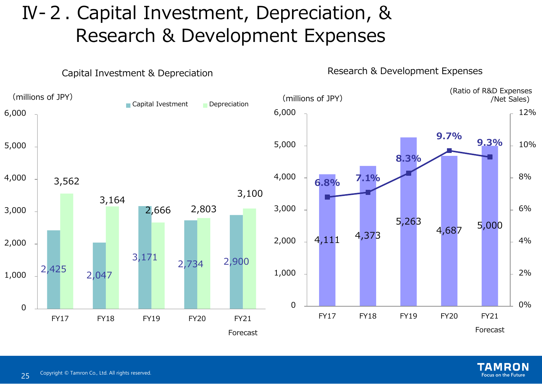# Ⅳ-2. Capital Investment, Depreciation, & Research & Development Expenses



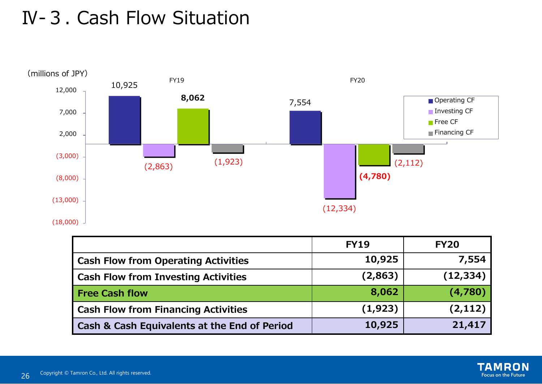## Ⅳ-3. Cash Flow Situation



|                                              | <b>FY19</b> | <b>FY20</b> |
|----------------------------------------------|-------------|-------------|
| <b>Cash Flow from Operating Activities</b>   | 10,925      | 7,554       |
| <b>Cash Flow from Investing Activities</b>   | (2, 863)    | (12, 334)   |
| <b>Free Cash flow</b>                        | 8,062       | (4,780)     |
| <b>Cash Flow from Financing Activities</b>   | (1, 923)    | (2, 112)    |
| Cash & Cash Equivalents at the End of Period | 10,925      | 21,417      |

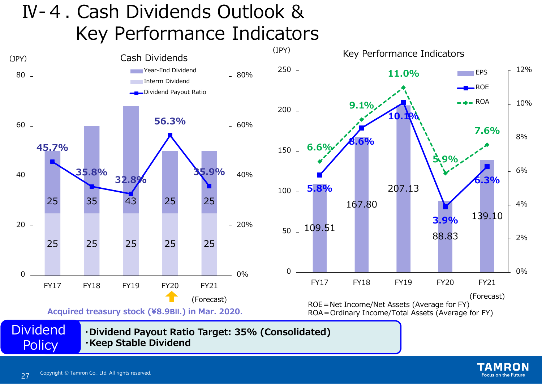# Ⅳ-4. Cash Dividends Outlook & Key Performance Indicators



**Focus on the Future**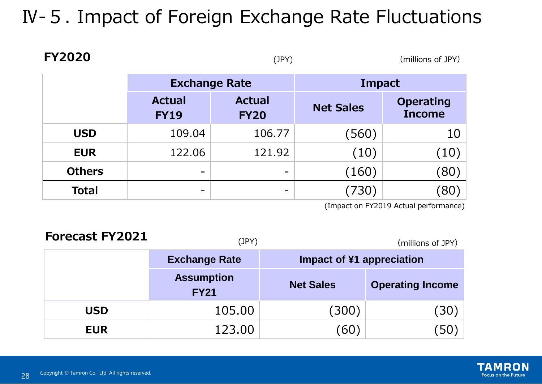# Ⅳ-5. Impact of Foreign Exchange Rate Fluctuations

| <u>FIZUZU</u> |                              | (JPY)                        |                  | (millions of JPY)                 |
|---------------|------------------------------|------------------------------|------------------|-----------------------------------|
|               | <b>Exchange Rate</b>         |                              | Impact           |                                   |
|               | <b>Actual</b><br><b>FY19</b> | <b>Actual</b><br><b>FY20</b> | <b>Net Sales</b> | <b>Operating</b><br><b>Income</b> |
| <b>USD</b>    | 109.04                       | 106.77                       | (560)            | 10                                |
| <b>EUR</b>    | 122.06                       | 121.92                       | (10)             | $\left(10\right)$                 |
| <b>Others</b> | $\qquad \qquad$              |                              | (160)            | (80)                              |
| <b>Total</b>  | -                            |                              | (730)            | 80 <sup>°</sup>                   |

(Impact on FY2019 Actual performance)

| <b>Forecast FY2021</b> | (JPY)                            | (millions of JPY)         |                         |
|------------------------|----------------------------------|---------------------------|-------------------------|
|                        | <b>Exchange Rate</b>             | Impact of ¥1 appreciation |                         |
|                        | <b>Assumption</b><br><b>FY21</b> | <b>Net Sales</b>          | <b>Operating Income</b> |
| <b>USD</b>             | 105.00                           | (300)                     | (30)                    |
| <b>EUR</b>             | 123.00                           | [60]                      |                         |

**FY2020**